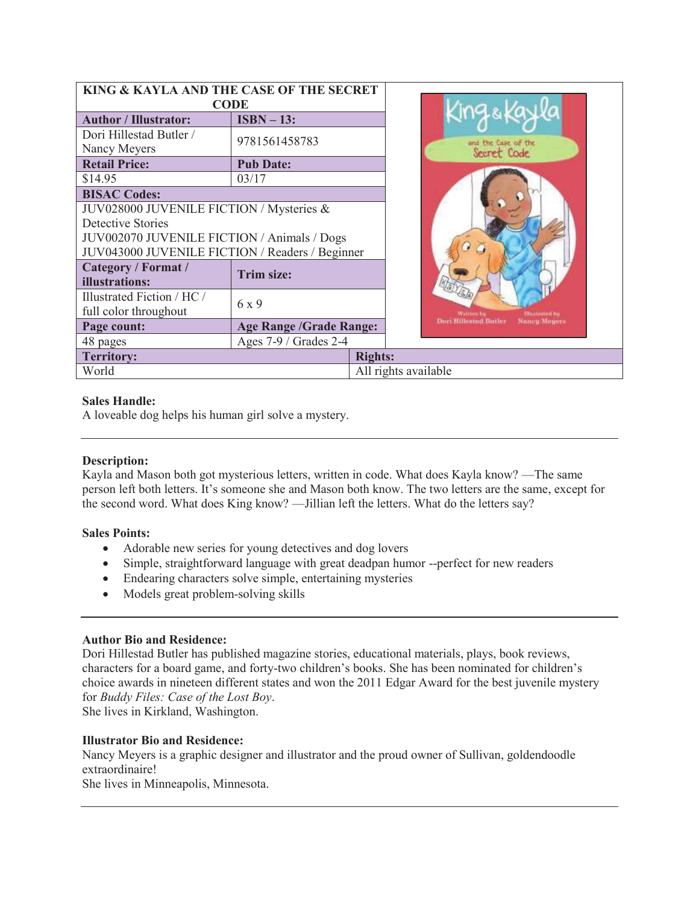| KING & KAYLA AND THE CASE OF THE SECRET             |                                |                      |
|-----------------------------------------------------|--------------------------------|----------------------|
| <b>CODE</b>                                         |                                |                      |
| <b>Author / Illustrator:</b>                        | $ISBN - 13:$                   |                      |
| Dori Hillestad Butler /<br>Nancy Meyers             | 9781561458783                  |                      |
| <b>Retail Price:</b>                                | <b>Pub Date:</b>               |                      |
| \$14.95                                             | 03/17                          |                      |
| <b>BISAC Codes:</b>                                 |                                |                      |
| JUV028000 JUVENILE FICTION / Mysteries &            |                                |                      |
| <b>Detective Stories</b>                            |                                |                      |
| JUV002070 JUVENILE FICTION / Animals / Dogs         |                                |                      |
| JUV043000 JUVENILE FICTION / Readers / Beginner     |                                |                      |
| Category / Format /<br>illustrations:               | Trim size:                     |                      |
| Illustrated Fiction / HC /<br>full color throughout | 6 x 9                          |                      |
| Page count:                                         | <b>Age Range /Grade Range:</b> |                      |
| 48 pages                                            | Ages 7-9 / Grades 2-4          |                      |
| <b>Territory:</b>                                   |                                | <b>Rights:</b>       |
| World                                               |                                | All rights available |

### **Sales Handle:**

A loveable dog helps his human girl solve a mystery.

#### **Description:**

Kayla and Mason both got mysterious letters, written in code. What does Kayla know? —The same person left both letters. It's someone she and Mason both know. The two letters are the same, except for the second word. What does King know? —Jillian left the letters. What do the letters say?

#### **Sales Points:**

- · Adorable new series for young detectives and dog lovers
- · Simple, straightforward language with great deadpan humor --perfect for new readers
- Endearing characters solve simple, entertaining mysteries
- · Models great problem-solving skills

#### **Author Bio and Residence:**

Dori Hillestad Butler has published magazine stories, educational materials, plays, book reviews, characters for a board game, and forty-two children's books. She has been nominated for children's choice awards in nineteen different states and won the 2011 Edgar Award for the best juvenile mystery for *Buddy Files: Case of the Lost Boy*.

She lives in Kirkland, Washington.

## **Illustrator Bio and Residence:**

Nancy Meyers is a graphic designer and illustrator and the proud owner of Sullivan, goldendoodle extraordinaire!

She lives in Minneapolis, Minnesota.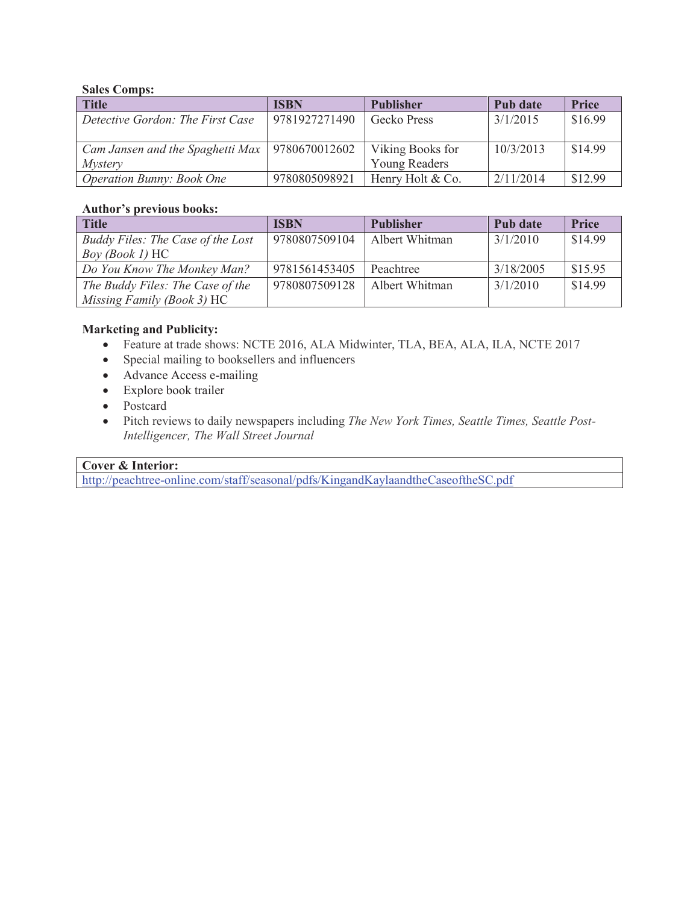## **Sales Comps:**

| <b>Title</b>                                     | <b>ISBN</b>   | <b>Publisher</b>     | Pub date  | <b>Price</b> |
|--------------------------------------------------|---------------|----------------------|-----------|--------------|
| Detective Gordon: The First Case                 | 9781927271490 | Gecko Press          | 3/1/2015  | \$16.99      |
|                                                  |               |                      |           |              |
| Cam Jansen and the Spaghetti Max   9780670012602 |               | Viking Books for     | 10/3/2013 | \$14.99      |
| <i>Mystery</i>                                   |               | <b>Young Readers</b> |           |              |
| Operation Bunny: Book One                        | 9780805098921 | Henry Holt & Co.     | 2/11/2014 | \$12.99      |

### **Author's previous books:**

| <b>Title</b>                      | <b>ISBN</b>   | <b>Publisher</b> | Pub date  | <b>Price</b> |
|-----------------------------------|---------------|------------------|-----------|--------------|
| Buddy Files: The Case of the Lost | 9780807509104 | Albert Whitman   | 3/1/2010  | \$14.99      |
| $Box(Book I)$ HC                  |               |                  |           |              |
| Do You Know The Monkey Man?       | 9781561453405 | Peachtree        | 3/18/2005 | \$15.95      |
| The Buddy Files: The Case of the  | 9780807509128 | Albert Whitman   | 3/1/2010  | \$14.99      |
| Missing Family (Book 3) HC        |               |                  |           |              |

# **Marketing and Publicity:**

- · Feature at trade shows: NCTE 2016, ALA Midwinter, TLA, BEA, ALA, ILA, NCTE 2017
- · Special mailing to booksellers and influencers
- Advance Access e-mailing
- · Explore book trailer
- Postcard
- · Pitch reviews to daily newspapers including *The New York Times, Seattle Times, Seattle Post-Intelligencer, The Wall Street Journal*

## **Cover & Interior:**

http://peachtree-online.com/staff/seasonal/pdfs/KingandKaylaandtheCaseoftheSC.pdf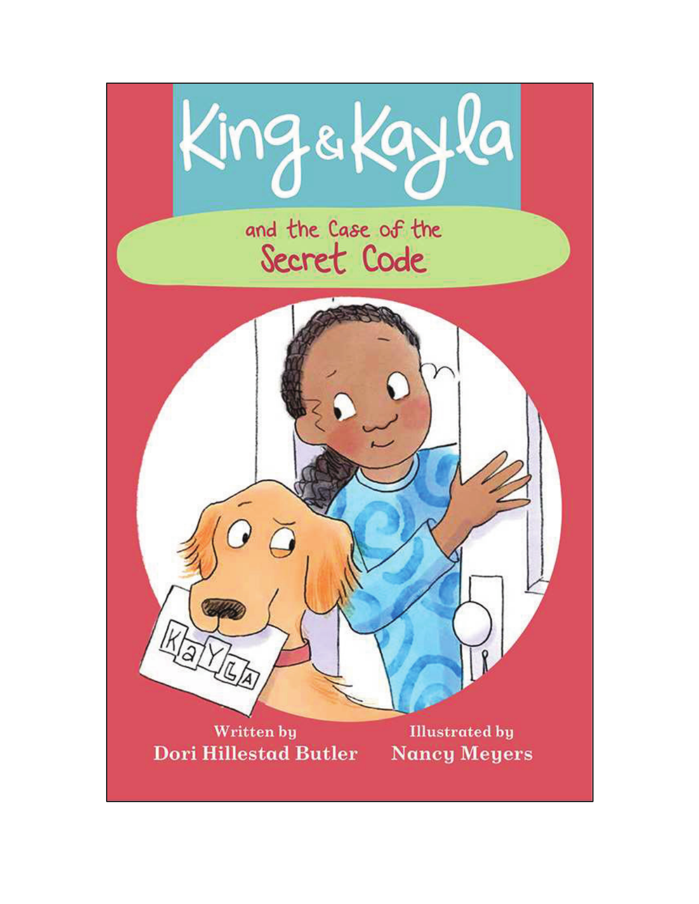